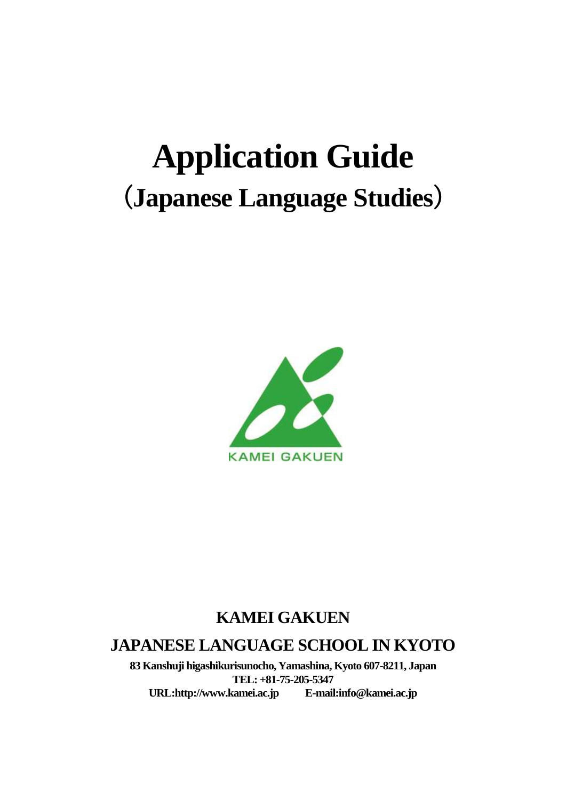# **Application Guide** (**Japanese Language Studies**)



# **KAMEI GAKUEN**

## **JAPANESE LANGUAGE SCHOOL IN KYOTO**

**83 Kanshuji higashikurisunocho, Yamashina, Kyoto 607-8211, Japan TEL: +81-75-205-5347**   $URL: http://www.kamei.ac.jp$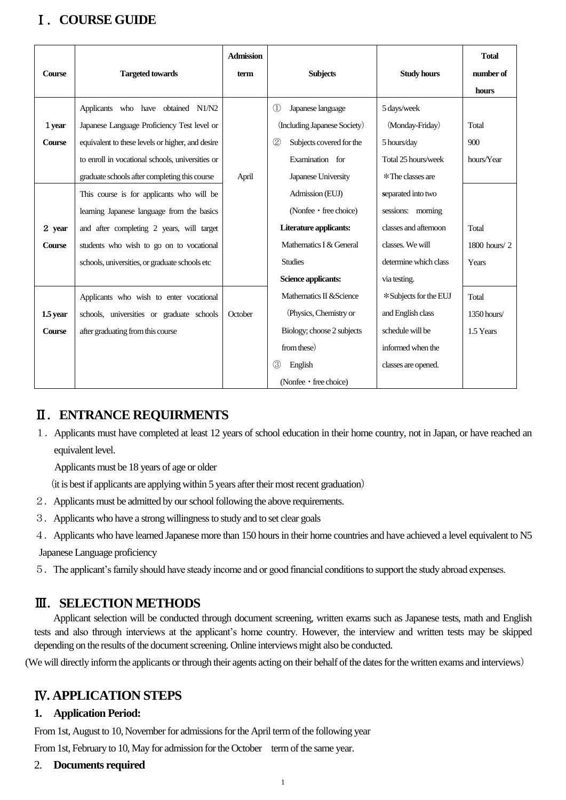## Ⅰ.**COURSE GUIDE**

| <b>Course</b>                                      | <b>Targeted towards</b>                                                                                                                                                                                                                                                                                                                                                                                                                                                          | <b>Admission</b><br>term | <b>Subjects</b>                                                                                                                                                                                                                                                                             | <b>Study hours</b>                                                                                                                                                                                                        | <b>Total</b><br>number of<br>hours                                |
|----------------------------------------------------|----------------------------------------------------------------------------------------------------------------------------------------------------------------------------------------------------------------------------------------------------------------------------------------------------------------------------------------------------------------------------------------------------------------------------------------------------------------------------------|--------------------------|---------------------------------------------------------------------------------------------------------------------------------------------------------------------------------------------------------------------------------------------------------------------------------------------|---------------------------------------------------------------------------------------------------------------------------------------------------------------------------------------------------------------------------|-------------------------------------------------------------------|
| 1 year<br><b>Course</b><br>2 year<br><b>Course</b> | Applicants who have obtained N1/N2<br>Japanese Language Proficiency Test level or<br>equivalent to these levels or higher, and desire<br>to enroll in vocational schools, universities or<br>graduate schools after completing this course<br>This course is for applicants who will be<br>learning Japanese language from the basics<br>and after completing 2 years, will target<br>students who wish to go on to vocational<br>schools, universities, or graduate schools etc | April                    | $^{\circledR}$<br>Japanese language<br>(Including Japanese Society)<br>(2)<br>Subjects covered for the<br>Examination for<br>Japanese University<br>Admission (EUJ)<br>(Nonfee • free choice)<br>Literature applicants:<br>Mathematics I & General<br><b>Studies</b><br>Science applicants: | 5 days/week<br>(Monday-Friday)<br>5 hours/day<br>Total 25 hours/week<br>*The classes are<br>separated into two<br>sessions: morning<br>classes and afternoon<br>classes. We will<br>determine which class<br>via testing. | Total<br>900<br>hours/Year<br>Total<br>$1800$ hours/ $2$<br>Years |
| 1.5 year<br><b>Course</b>                          | Applicants who wish to enter vocational<br>schools, universities or graduate schools<br>after graduating from this course                                                                                                                                                                                                                                                                                                                                                        | October                  | Mathematics II & Science<br>(Physics, Chemistry or<br>Biology; choose 2 subjects<br>from these)<br>(3)<br>English<br>(Nonfee • free choice)                                                                                                                                                 | * Subjects for the EUJ<br>and English class<br>schedule will be<br>informed when the<br>classes are opened.                                                                                                               | Total<br>1350 hours/<br>1.5 Years                                 |

## Ⅱ.**ENTRANCE REQUIRMENTS**

1.Applicants must have completed at least 12 years of school education in their home country, not in Japan, or have reached an equivalent level.

Applicants must be 18 years of age or older

(it is best if applicants are applying within 5 years after their most recent graduation)

- 2.Applicants must be admitted by our school following the above requirements.
- 3.Applicants who have a strong willingness to study and to set clear goals
- 4.Applicants who have learned Japanese more than 150 hours in their home countries and have achieved a level equivalent to N5

Japanese Language proficiency

5.The applicant's family should have steady income and or good financial conditions to support the study abroad expenses.

## Ⅲ.**SELECTION METHODS**

Applicant selection will be conducted through document screening, written exams such as Japanese tests, math and English tests and also through interviews at the applicant's home country. However, the interview and written tests may be skipped depending on the results of the document screening. Online interviews might also be conducted.

(We will directly inform the applicants or through their agents acting on their behalf of the dates for the written exams and interviews)

## Ⅳ**. APPLICATION STEPS**

### **1. Application Period:**

From 1st, August to 10, November for admissions for the April term of the following year

From 1st, February to 10, May for admission for the October term of the same year.

2. **Documents required**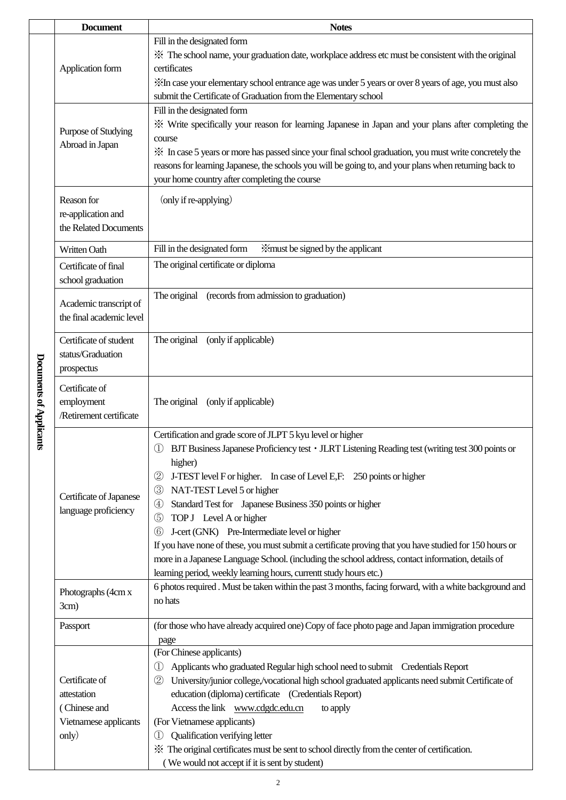|  | <b>Document</b>                                                                 | <b>Notes</b>                                                                                                                                                                                                                                                                                                                                                                                                                                                                                                                                                                                                                                                                                                                                                                             |  |  |
|--|---------------------------------------------------------------------------------|------------------------------------------------------------------------------------------------------------------------------------------------------------------------------------------------------------------------------------------------------------------------------------------------------------------------------------------------------------------------------------------------------------------------------------------------------------------------------------------------------------------------------------------------------------------------------------------------------------------------------------------------------------------------------------------------------------------------------------------------------------------------------------------|--|--|
|  | Application form                                                                | Fill in the designated form<br>* The school name, your graduation date, workplace address etc must be consistent with the original<br>certificates<br>XIn case your elementary school entrance age was under 5 years or over 8 years of age, you must also<br>submit the Certificate of Graduation from the Elementary school                                                                                                                                                                                                                                                                                                                                                                                                                                                            |  |  |
|  | Purpose of Studying<br>Abroad in Japan                                          | Fill in the designated form<br>* Write specifically your reason for learning Japanese in Japan and your plans after completing the<br>course<br>X In case 5 years or more has passed since your final school graduation, you must write concretely the<br>reasons for learning Japanese, the schools you will be going to, and your plans when returning back to<br>your home country after completing the course                                                                                                                                                                                                                                                                                                                                                                        |  |  |
|  | Reason for<br>re-application and<br>the Related Documents                       | (only if re-applying)                                                                                                                                                                                                                                                                                                                                                                                                                                                                                                                                                                                                                                                                                                                                                                    |  |  |
|  | Written Oath                                                                    | Fill in the designated form<br>imust be signed by the applicant                                                                                                                                                                                                                                                                                                                                                                                                                                                                                                                                                                                                                                                                                                                          |  |  |
|  | Certificate of final<br>school graduation                                       | The original certificate or diploma                                                                                                                                                                                                                                                                                                                                                                                                                                                                                                                                                                                                                                                                                                                                                      |  |  |
|  | Academic transcript of<br>the final academic level                              | The original<br>(records from admission to graduation)                                                                                                                                                                                                                                                                                                                                                                                                                                                                                                                                                                                                                                                                                                                                   |  |  |
|  | Certificate of student<br>status/Graduation<br>prospectus                       | The original<br>(only if applicable)                                                                                                                                                                                                                                                                                                                                                                                                                                                                                                                                                                                                                                                                                                                                                     |  |  |
|  | Certificate of<br>employment<br>/Retirement certificate                         | The original<br>(only if applicable)                                                                                                                                                                                                                                                                                                                                                                                                                                                                                                                                                                                                                                                                                                                                                     |  |  |
|  | Certificate of Japanese<br>language proficiency                                 | Certification and grade score of JLPT 5 kyu level or higher<br>BJT Business Japanese Proficiency test • JLRT Listening Reading test (writing test 300 points or<br>higher)<br>J-TEST level F or higher. In case of Level E,F: 250 points or higher<br>$\circled{2}$<br>NAT-TEST Level 5 or higher<br>$\circled{3}$<br>Standard Test for Japanese Business 350 points or higher<br>$\circledast$<br>TOP J Level A or higher<br>$\circledS$<br>J-cert (GNK) Pre-Intermediate level or higher<br>(6)<br>If you have none of these, you must submit a certificate proving that you have studied for 150 hours or<br>more in a Japanese Language School. (including the school address, contact information, details of<br>learning period, weekly learning hours, currentt study hours etc.) |  |  |
|  | Photographs (4cm x<br>3cm)                                                      | 6 photos required. Must be taken within the past 3 months, facing forward, with a white background and<br>no hats                                                                                                                                                                                                                                                                                                                                                                                                                                                                                                                                                                                                                                                                        |  |  |
|  | Passport                                                                        | (for those who have already acquired one) Copy of face photo page and Japan immigration procedure                                                                                                                                                                                                                                                                                                                                                                                                                                                                                                                                                                                                                                                                                        |  |  |
|  | Certificate of<br>attestation<br>(Chinese and<br>Vietnamese applicants<br>only) | page<br>(For Chinese applicants)<br>Applicants who graduated Regular high school need to submit  Credentials Report<br>$_{\oplus}$<br>University/junior college/vocational high school graduated applicants need submit Certificate of<br>$\circled{2}$<br>education (diploma) certificate (Credentials Report)<br>Access the link www.cdgdc.edu.cn<br>to apply<br>(For Vietnamese applicants)<br>Qualification verifying letter<br>$_{\textcircled{\scriptsize{1}}}$<br>* The original certificates must be sent to school directly from the center of certification.<br>(We would not accept if it is sent by student)                                                                                                                                                                 |  |  |

Documents of Applicants **Documents of Applicants**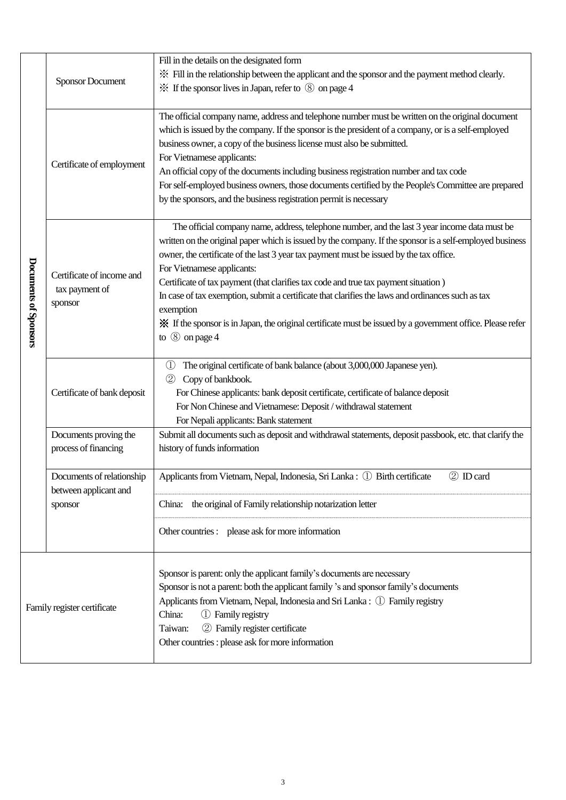|                             | Fill in the details on the designated form<br>※ Fill in the relationship between the applicant and the sponsor and the payment method clearly.<br><b>Sponsor Document</b><br>$\frac{1}{2}$ If the sponsor lives in Japan, refer to $\circledS$ on page 4 |                                                                                                                                                                                                                                                                                                                                                                                                                                                                                                                                                                                                                                                                                       |                                                                                                                                                                                                                                                                                                                                                                                                         |  |
|-----------------------------|----------------------------------------------------------------------------------------------------------------------------------------------------------------------------------------------------------------------------------------------------------|---------------------------------------------------------------------------------------------------------------------------------------------------------------------------------------------------------------------------------------------------------------------------------------------------------------------------------------------------------------------------------------------------------------------------------------------------------------------------------------------------------------------------------------------------------------------------------------------------------------------------------------------------------------------------------------|---------------------------------------------------------------------------------------------------------------------------------------------------------------------------------------------------------------------------------------------------------------------------------------------------------------------------------------------------------------------------------------------------------|--|
| Documents of Sponsors       | business owner, a copy of the business license must also be submitted.<br>For Vietnamese applicants:<br>Certificate of employment<br>by the sponsors, and the business registration permit is necessary                                                  |                                                                                                                                                                                                                                                                                                                                                                                                                                                                                                                                                                                                                                                                                       | The official company name, address and telephone number must be written on the original document<br>which is issued by the company. If the sponsor is the president of a company, or is a self-employed<br>An official copy of the documents including business registration number and tax code<br>For self-employed business owners, those documents certified by the People's Committee are prepared |  |
|                             | Certificate of income and<br>tax payment of<br>sponsor                                                                                                                                                                                                   | The official company name, address, telephone number, and the last 3 year income data must be<br>written on the original paper which is issued by the company. If the sponsor is a self-employed business<br>owner, the certificate of the last 3 year tax payment must be issued by the tax office.<br>For Vietnamese applicants:<br>Certificate of tax payment (that clarifies tax code and true tax payment situation)<br>In case of tax exemption, submit a certificate that clarifies the laws and ordinances such as tax<br>exemption<br>X If the sponsor is in Japan, the original certificate must be issued by a government office. Please refer<br>to $\circledS$ on page 4 |                                                                                                                                                                                                                                                                                                                                                                                                         |  |
|                             | Certificate of bank deposit                                                                                                                                                                                                                              | The original certificate of bank balance (about 3,000,000 Japanese yen).<br>$\bigcirc$<br>$^{\circledR}$<br>Copy of bankbook.<br>For Chinese applicants: bank deposit certificate, certificate of balance deposit<br>For Non Chinese and Vietnamese: Deposit / withdrawal statement<br>For Nepali applicants: Bank statement                                                                                                                                                                                                                                                                                                                                                          |                                                                                                                                                                                                                                                                                                                                                                                                         |  |
|                             | Documents proving the<br>process of financing                                                                                                                                                                                                            | Submit all documents such as deposit and withdrawal statements, deposit passbook, etc. that clarify the<br>history of funds information                                                                                                                                                                                                                                                                                                                                                                                                                                                                                                                                               |                                                                                                                                                                                                                                                                                                                                                                                                         |  |
|                             | Documents of relationship<br>between applicant and<br>sponsor                                                                                                                                                                                            | 2 ID card<br>Applicants from Vietnam, Nepal, Indonesia, Sri Lanka: ① Birth certificate<br>China: the original of Family relationship notarization letter<br>Other countries : please ask for more information                                                                                                                                                                                                                                                                                                                                                                                                                                                                         |                                                                                                                                                                                                                                                                                                                                                                                                         |  |
| Family register certificate |                                                                                                                                                                                                                                                          | Sponsor is parent: only the applicant family's documents are necessary<br>Sponsor is not a parent: both the applicant family's and sponsor family's documents<br>Applicants from Vietnam, Nepal, Indonesia and Sri Lanka: ① Family registry<br>China:<br>1 Family registry<br>2 Family register certificate<br>Taiwan:<br>Other countries : please ask for more information                                                                                                                                                                                                                                                                                                           |                                                                                                                                                                                                                                                                                                                                                                                                         |  |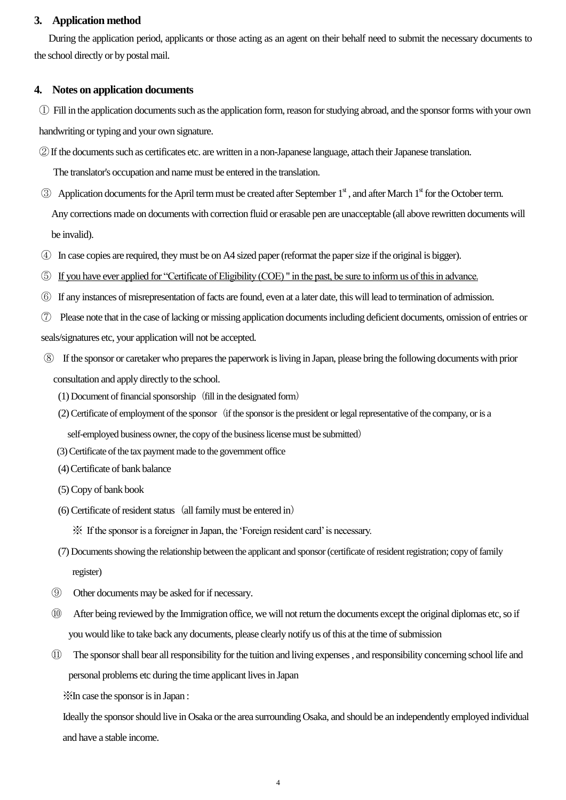#### **3. Application method**

During the application period, applicants or those acting as an agent on their behalf need to submit the necessary documents to the school directly or by postal mail.

#### **4. Notes on application documents**

① Fill in the application documents such as the application form, reason for studying abroad, and the sponsor forms with your own handwriting or typing and your own signature.

②If the documents such as certificates etc. are written in a non-Japanese language, attach theirJapanese translation.

The translator's occupation and name must be entered in the translation.

- $\odot$  Application documents for the April term must be created after September 1<sup>st</sup>, and after March 1<sup>st</sup> for the October term. Any corrections made on documents with correction fluid or erasable pen are unacceptable (all above rewritten documents will be invalid).
- ④ In case copies are required, they must be on A4 sized paper (reformat the paper size if the original is bigger).
- ⑤ If you have ever applied for "Certificate of Eligibility (COE) " in the past, be sure to inform us of this in advance.
- ⑥ If any instances of misrepresentation offacts are found, even at a later date, this will lead to termination of admission.
- ⑦ Please note that in the case of lacking or missing application documents including deficient documents, omission of entries or seals/signatures etc, your application will not be accepted.
- ⑧ If the sponsor or caretaker who prepares the paperwork is living in Japan, please bring the following documents with prior consultation and apply directly to the school.
	- $(1)$  Document of financial sponsorship (fill in the designated form)
	- $(2)$  Certificate of employment of the sponsor (if the sponsor is the president or legal representative of the company, or is a

self-employed business owner, the copy of the business license must be submitted)

- (3) Certificate of the tax payment made to the government office
- (4)Certificate of bank balance
- (5) Copy of bank book
- $(6)$  Certificate of resident status (all family must be entered in)

※ If the sponsor is a foreigner in Japan, the 'Foreign resident card' is necessary.

- (7) Documents showing the relationship between the applicant and sponsor (certificate of resident registration; copy of family register)
- ⑨ Other documents may be asked for if necessary.
- ⑩ After being reviewed by the Immigration office, we will not return the documents except the original diplomas etc, so if you would like to take back any documents, please clearly notify us of this at the time of submission
- ⑪ The sponsor shall bear all responsibility for the tuition and living expenses , and responsibility concerning school life and personal problems etc during the time applicant lives in Japan

※In case the sponsor is in Japan :

Ideally the sponsor should live in Osaka or the area surrounding Osaka, and should be an independently employed individual and have a stable income.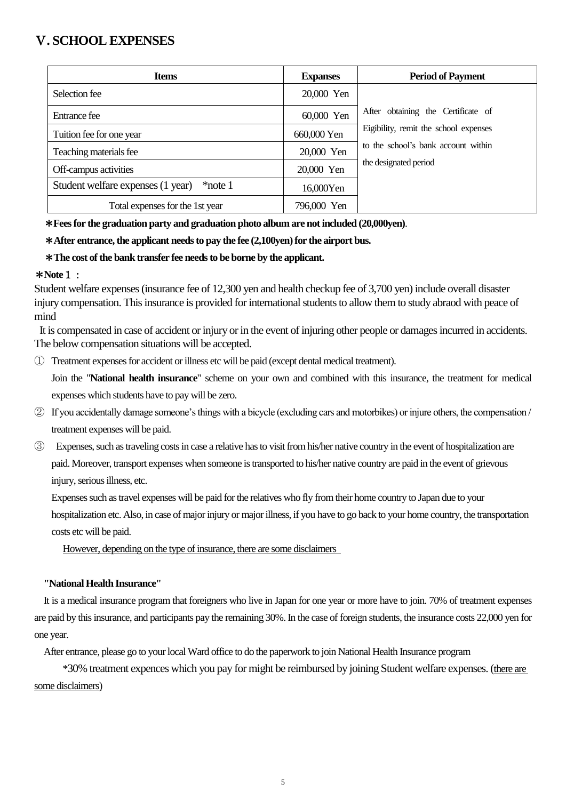## Ⅴ**. SCHOOL EXPENSES**

| <b>Items</b>                                 | <b>Expanses</b> | <b>Period of Payment</b>              |
|----------------------------------------------|-----------------|---------------------------------------|
| Selection fee                                | 20,000 Yen      |                                       |
| Entrance fee                                 | 60,000 Yen      | After obtaining the Certificate of    |
| Tuition fee for one year                     | 660,000 Yen     | Eigibility, remit the school expenses |
| Teaching materials fee                       | 20,000 Yen      | to the school's bank account within   |
| Off-campus activities                        | 20,000 Yen      | the designated period                 |
| Student welfare expenses (1 year)<br>*note 1 | 16,000Yen       |                                       |
| Total expenses for the 1st year              | 796,000 Yen     |                                       |

\***Fees for the graduation party and graduation photo album are not included (20,000yen)**.

#### \***After entrance, the applicant needs to pay the fee (2,100yen) for the airport bus.**

#### \***The cost of the bank transfer fee needs to be borne by the applicant.**

#### \***Note**1:

Student welfare expenses (insurance fee of 12,300 yen and health checkup fee of 3,700 yen) include overall disaster injury compensation. This insurance is provided for international students to allow them to study abraod with peace of mind

It is compensated in case of accident or injury or in the event of injuring other people or damages incurred in accidents. The below compensation situations will be accepted.

① Treatment expenses for accident or illness etc will be paid (except dental medical treatment).

Join the "**National health insurance**" scheme on your own and combined with this insurance, the treatment for medical expenses which students have to pay will be zero.

- ② If you accidentally damage someone's things with a bicycle (excluding cars and motorbikes) or injure others, the compensation / treatment expenses will be paid.
- ③ Expenses, such as traveling costs in case a relative has to visit from his/her native country in the event of hospitalization are paid.Moreover, transport expenses when someone is transported to his/her native country are paid in the event of grievous injury, serious illness, etc.

Expenses such as travel expenses will be paid for the relatives who fly from their home country to Japan due to your

hospitalization etc. Also, in case of major injury or major illness, if you have to go back to your home country, the transportation costs etc will be paid.

However, depending on the type of insurance, there are some disclaimers

#### **"National Health Insurance"**

It is a medical insurance program that foreigners who live in Japan for one year or more have to join. 70% of treatment expenses are paid by this insurance, and participants pay the remaining 30%. In the case of foreign students, the insurance costs 22,000 yen for one year.

After entrance, please go to your local Ward office to do the paperwork to join National Health Insurance program

\*30% treatment expences which you pay for might be reimbursed by joining Student welfare expenses. (there are some disclaimers)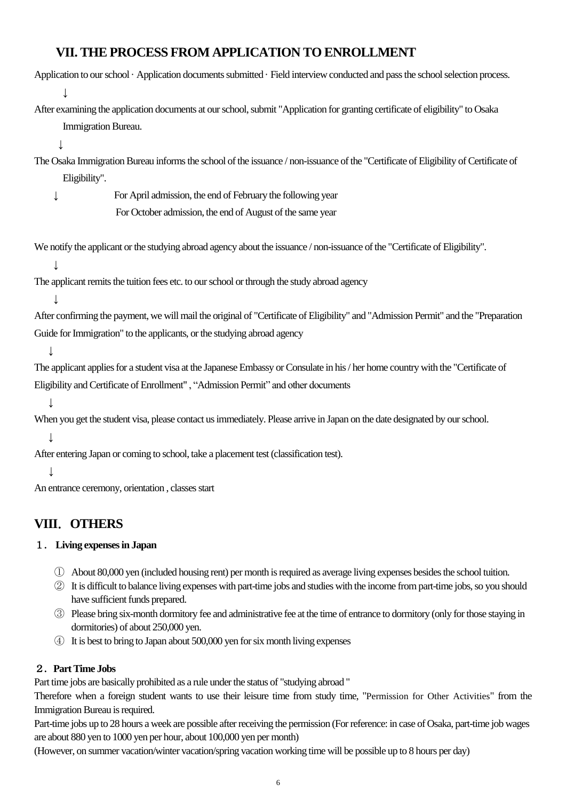## **VII. THE PROCESS FROM APPLICATION TO ENROLLMENT**

| Application to our school · Application documents submitted · Field interview conducted and pass the school selection process.      |  |
|-------------------------------------------------------------------------------------------------------------------------------------|--|
|                                                                                                                                     |  |
| After examining the application documents at our school, submit "Application for granting certificate of eligibility" to Osaka      |  |
| Immigration Bureau.                                                                                                                 |  |
|                                                                                                                                     |  |
| The Osaka Immigration Bureau informs the school of the issuance / non-issuance of the "Certificate of Eligibility of Certificate of |  |
| Eligibility".                                                                                                                       |  |
| For April admission, the end of February the following year<br>↓                                                                    |  |
| For October admission, the end of August of the same year                                                                           |  |
|                                                                                                                                     |  |
| We notify the applicant or the studying abroad agency about the issuance / non-issuance of the "Certificate of Eligibility".        |  |
|                                                                                                                                     |  |
| The applicant remits the tuition fees etc. to our school or through the study abroad agency                                         |  |
|                                                                                                                                     |  |
| After confirming the payment, we will mail the original of "Certificate of Eligibility" and "Admission Permit" and the "Preparation |  |
| Guide for Immigration" to the applicants, or the studying abroad agency                                                             |  |
| T                                                                                                                                   |  |
| The applicant applies for a student visa at the Japanese Embassy or Consulate in his / her home country with the "Certificate of    |  |
| Eligibility and Certificate of Enrollment", "Admission Permit" and other documents                                                  |  |
|                                                                                                                                     |  |
| When you get the student visa, please contact us immediately. Please arrive in Japan on the date designated by our school.          |  |
|                                                                                                                                     |  |
| After entering Japan or coming to school, take a placement test (classification test).                                              |  |
|                                                                                                                                     |  |
| An entrance ceremony, orientation, classes start                                                                                    |  |

# **VIII**.**OTHERS**

#### 1. **Living expenses in Japan**

- ① About 80,000 yen (included housing rent) per month is required as average living expenses besides the school tuition.
- ② It is difficult to balance living expenses with part-time jobs and studies with the income from part-time jobs, so you should have sufficient funds prepared.
- ③ Please bring six-month dormitory fee and administrative fee at the time of entrance to dormitory (only for those staying in dormitories) of about 250,000 yen.
- ④ It is best to bring to Japan about 500,000 yen for six month living expenses

#### 2.**Part Time Jobs**

Part time jobs are basically prohibited as a rule under the status of "studying abroad "

Therefore when a foreign student wants to use their leisure time from study time, "Permission for Other Activities" from the Immigration Bureau is required.

Part-time jobs up to 28 hours a week are possible after receiving the permission (For reference: in case of Osaka, part-time job wages are about 880 yen to 1000 yen per hour, about 100,000 yen per month)

(However, on summer vacation/winter vacation/spring vacation working time will be possible up to 8 hours per day)